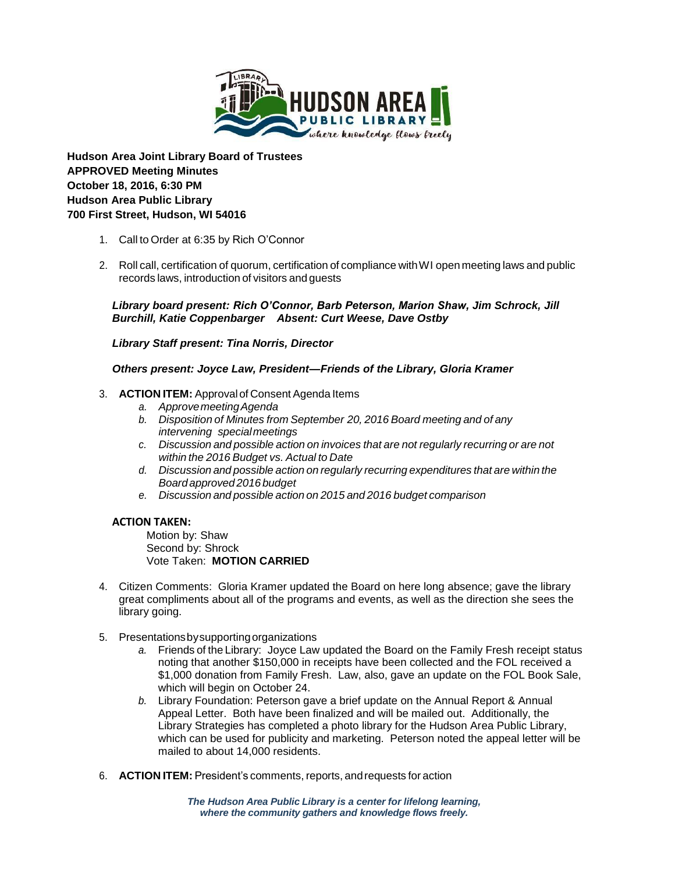

**Hudson Area Joint Library Board of Trustees APPROVED Meeting Minutes October 18, 2016, 6:30 PM Hudson Area Public Library 700 First Street, Hudson, WI 54016**

- 1. Call to Order at 6:35 by Rich O'Connor
- 2. Roll call, certification of quorum, certification of compliance withWI open meeting laws and public records laws, introduction of visitors and guests

*Library board present: Rich O'Connor, Barb Peterson, Marion Shaw, Jim Schrock, Jill Burchill, Katie Coppenbarger Absent: Curt Weese, Dave Ostby*

*Library Staff present: Tina Norris, Director*

*Others present: Joyce Law, President—Friends of the Library, Gloria Kramer*

## 3. **ACTION ITEM:** Approval of Consent Agenda Items

- *a. ApprovemeetingAgenda*
- *b. Disposition of Minutes from September 20, 2016 Board meeting and of any intervening special meetings*
- *c. Discussion and possible action on invoices that are not regularly recurring or are not within the 2016 Budget vs. Actual to Date*
- *d. Discussion and possible action on regularly recurring expenditures that are within the Board approved 2016 budget*
- *e. Discussion and possible action on 2015 and 2016 budget comparison*

### **ACTION TAKEN:**

Motion by: Shaw Second by: Shrock Vote Taken: **MOTION CARRIED**

- 4. Citizen Comments: Gloria Kramer updated the Board on here long absence; gave the library great compliments about all of the programs and events, as well as the direction she sees the library going.
- 5. Presentationsbysupportingorganizations
	- *a.* Friends of the Library: Joyce Law updated the Board on the Family Fresh receipt status noting that another \$150,000 in receipts have been collected and the FOL received a \$1,000 donation from Family Fresh. Law, also, gave an update on the FOL Book Sale, which will begin on October 24.
	- *b.* Library Foundation: Peterson gave a brief update on the Annual Report & Annual Appeal Letter. Both have been finalized and will be mailed out. Additionally, the Library Strategies has completed a photo library for the Hudson Area Public Library, which can be used for publicity and marketing. Peterson noted the appeal letter will be mailed to about 14,000 residents.
- 6. **ACTION ITEM:** President's comments, reports, andrequests for action

*The Hudson Area Public Library is a center for lifelong learning, where the community gathers and knowledge flows freely.*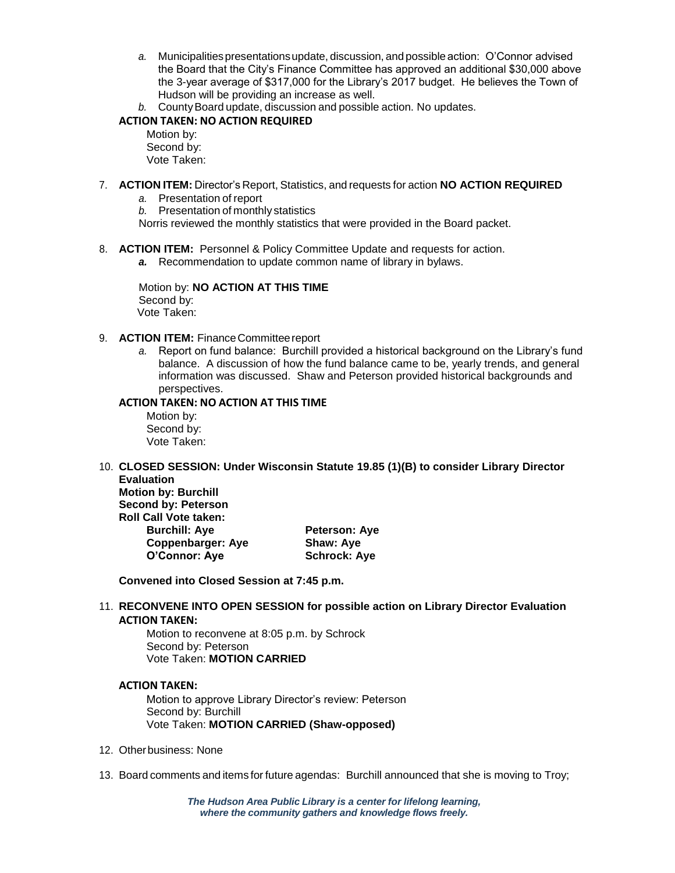- *a.* Municipalitiespresentationsupdate, discussion, and possible action: O'Connor advised the Board that the City's Finance Committee has approved an additional \$30,000 above the 3-year average of \$317,000 for the Library's 2017 budget. He believes the Town of Hudson will be providing an increase as well.
- *b.* CountyBoard update, discussion and possible action. No updates.

## **ACTION TAKEN: NO ACTION REQUIRED**

Motion by: Second by: Vote Taken:

- 7. **ACTION ITEM:** Director's Report, Statistics, and requests for action **NO ACTION REQUIRED**
	- *a.* Presentation of report
	- *b.* Presentation of monthly statistics
	- Norris reviewed the monthly statistics that were provided in the Board packet.
- 8. **ACTION ITEM:** Personnel & Policy Committee Update and requests for action.
	- *a.* Recommendation to update common name of library in bylaws.

Motion by: **NO ACTION AT THIS TIME** Second by: Vote Taken:

- 9. **ACTION ITEM:** FinanceCommitteereport
	- *a.* Report on fund balance: Burchill provided a historical background on the Library's fund balance. A discussion of how the fund balance came to be, yearly trends, and general information was discussed. Shaw and Peterson provided historical backgrounds and perspectives.

### **ACTION TAKEN: NO ACTION AT THIS TIME**

Motion by: Second by: Vote Taken:

10. **CLOSED SESSION: Under Wisconsin Statute 19.85 (1)(B) to consider Library Director Evaluation Motion by: Burchill**

**Second by: Peterson Roll Call Vote taken: Burchill: Ave <b>Peterson:** Ave **Coppenbarger: Aye Shaw: Aye O'Connor: Aye Schrock: Aye**

**Convened into Closed Session at 7:45 p.m.**

11. **RECONVENE INTO OPEN SESSION for possible action on Library Director Evaluation ACTION TAKEN:** 

Motion to reconvene at 8:05 p.m. by Schrock Second by: Peterson Vote Taken: **MOTION CARRIED**

# **ACTION TAKEN:**

Motion to approve Library Director's review: Peterson Second by: Burchill Vote Taken: **MOTION CARRIED (Shaw-opposed)**

- 12. Otherbusiness: None
- 13. Board comments and items for future agendas: Burchill announced that she is moving to Troy;

*The Hudson Area Public Library is a center for lifelong learning, where the community gathers and knowledge flows freely.*